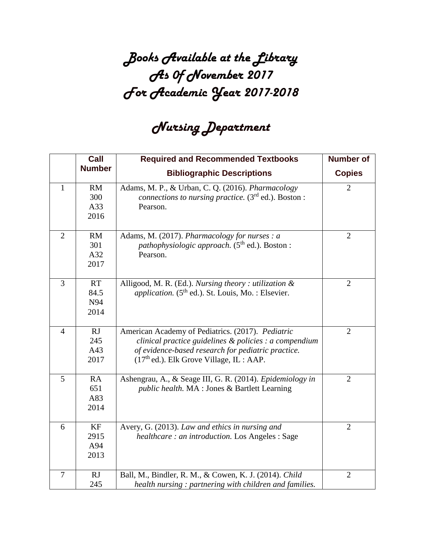## *Books Available at the Library As 0f November 2017 For Academic Year 2017-2018*

## *Nursing Department*

|                 | Call          | <b>Required and Recommended Textbooks</b>                             | <b>Number of</b> |
|-----------------|---------------|-----------------------------------------------------------------------|------------------|
|                 | <b>Number</b> | <b>Bibliographic Descriptions</b>                                     | <b>Copies</b>    |
| 1               | RM            | Adams, M. P., & Urban, C. Q. (2016). Pharmacology                     | $\overline{2}$   |
|                 | 300           | connections to nursing practice. $(3rd$ ed.). Boston :                |                  |
|                 | A33           | Pearson.                                                              |                  |
|                 | 2016          |                                                                       |                  |
| $\overline{2}$  | RM            | Adams, M. (2017). Pharmacology for nurses : a                         | $\overline{2}$   |
|                 | 301           | <i>pathophysiologic approach.</i> (5 <sup>th</sup> ed.). Boston :     |                  |
|                 | A32           | Pearson.                                                              |                  |
|                 | 2017          |                                                                       |                  |
| $\overline{3}$  | <b>RT</b>     | Alligood, M. R. (Ed.). Nursing theory : utilization &                 | $\overline{2}$   |
|                 | 84.5          | <i>application.</i> (5 <sup>th</sup> ed.). St. Louis, Mo. : Elsevier. |                  |
|                 | N94           |                                                                       |                  |
|                 | 2014          |                                                                       |                  |
|                 |               |                                                                       |                  |
| $\overline{4}$  | RJ            | American Academy of Pediatrics. (2017). Pediatric                     | $\overline{2}$   |
|                 | 245           | clinical practice guidelines $\&$ policies : a compendium             |                  |
|                 | A43           | of evidence-based research for pediatric practice.                    |                  |
|                 | 2017          | $(17th$ ed.). Elk Grove Village, IL : AAP.                            |                  |
| $5\overline{)}$ | RA            | Ashengrau, A., & Seage III, G. R. (2014). Epidemiology in             | $\overline{2}$   |
|                 | 651           | public health. MA : Jones & Bartlett Learning                         |                  |
|                 | A83           |                                                                       |                  |
|                 | 2014          |                                                                       |                  |
| 6               | KF            | Avery, G. (2013). Law and ethics in nursing and                       | $\overline{2}$   |
|                 | 2915          | <i>healthcare: an introduction.</i> Los Angeles: Sage                 |                  |
|                 | A94           |                                                                       |                  |
|                 | 2013          |                                                                       |                  |
|                 |               |                                                                       |                  |
| $\overline{7}$  | RJ            | Ball, M., Bindler, R. M., & Cowen, K. J. (2014). Child                | $\overline{2}$   |
|                 | 245           | health nursing: partnering with children and families.                |                  |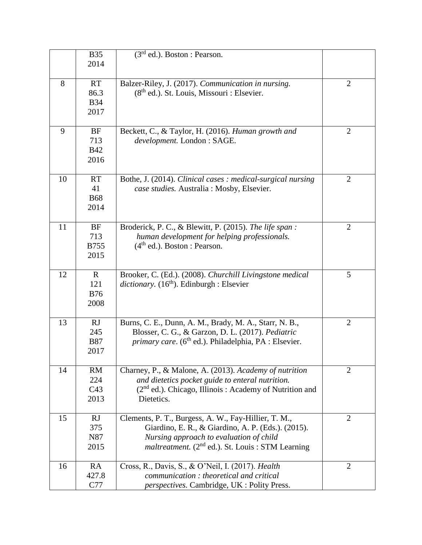|    | <b>B35</b>  | $\overline{(3^{rd}$ ed.). Boston : Pearson.                              |                |
|----|-------------|--------------------------------------------------------------------------|----------------|
|    | 2014        |                                                                          |                |
|    |             |                                                                          |                |
| 8  | <b>RT</b>   | Balzer-Riley, J. (2017). Communication in nursing.                       | $\overline{2}$ |
|    | 86.3        | $(8th$ ed.). St. Louis, Missouri : Elsevier.                             |                |
|    | <b>B34</b>  |                                                                          |                |
|    | 2017        |                                                                          |                |
|    |             |                                                                          |                |
| 9  | <b>BF</b>   | Beckett, C., & Taylor, H. (2016). Human growth and                       | $\overline{2}$ |
|    | 713         | development. London: SAGE.                                               |                |
|    | <b>B42</b>  |                                                                          |                |
|    | 2016        |                                                                          |                |
|    |             |                                                                          |                |
| 10 | <b>RT</b>   | Bothe, J. (2014). Clinical cases : medical-surgical nursing              | $\overline{2}$ |
|    | 41          | case studies. Australia : Mosby, Elsevier.                               |                |
|    | <b>B68</b>  |                                                                          |                |
|    | 2014        |                                                                          |                |
|    |             |                                                                          |                |
| 11 | <b>BF</b>   | Broderick, P. C., & Blewitt, P. (2015). The life span:                   | $\overline{2}$ |
|    | 713         | human development for helping professionals.                             |                |
|    | <b>B755</b> | $(4th$ ed.). Boston : Pearson.                                           |                |
|    | 2015        |                                                                          |                |
|    |             |                                                                          |                |
| 12 | $\mathbf R$ | Brooker, C. (Ed.). (2008). Churchill Livingstone medical                 | 5              |
|    | 121         | <i>dictionary.</i> $(16th)$ . Edinburgh : Elsevier                       |                |
|    | <b>B76</b>  |                                                                          |                |
|    | 2008        |                                                                          |                |
|    |             |                                                                          |                |
| 13 | <b>RJ</b>   | Burns, C. E., Dunn, A. M., Brady, M. A., Starr, N. B.,                   | $\overline{2}$ |
|    | 245         | Blosser, C. G., & Garzon, D. L. (2017). Pediatric                        |                |
|    | <b>B87</b>  | <i>primary care.</i> (6 <sup>th</sup> ed.). Philadelphia, PA : Elsevier. |                |
|    | 2017        |                                                                          |                |
| 14 | RM          | Charney, P., & Malone, A. (2013). Academy of nutrition                   | $\overline{2}$ |
|    | 224         | and dietetics pocket guide to enteral nutrition.                         |                |
|    | C43         | (2 <sup>nd</sup> ed.). Chicago, Illinois: Academy of Nutrition and       |                |
|    | 2013        | Dietetics.                                                               |                |
|    |             |                                                                          |                |
| 15 | RJ          | Clements, P. T., Burgess, A. W., Fay-Hillier, T. M.,                     | $\overline{2}$ |
|    | 375         | Giardino, E. R., & Giardino, A. P. (Eds.). (2015).                       |                |
|    | N87         | Nursing approach to evaluation of child                                  |                |
|    | 2015        | <i>maltreatment.</i> $(2^{nd}$ ed.). St. Louis : STM Learning            |                |
|    |             |                                                                          |                |
| 16 | RA          | Cross, R., Davis, S., & O'Neil, I. (2017). Health                        | $\overline{2}$ |
|    | 427.8       | communication: theoretical and critical                                  |                |
|    | C77         | <i>perspectives.</i> Cambridge, UK : Polity Press.                       |                |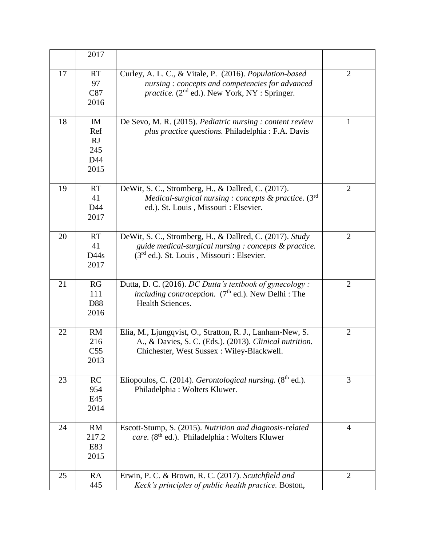|    | 2017                                         |                                                                                                                                                                       |                |
|----|----------------------------------------------|-----------------------------------------------------------------------------------------------------------------------------------------------------------------------|----------------|
| 17 | <b>RT</b><br>97<br>C87<br>2016               | Curley, A. L. C., & Vitale, P. (2016). Population-based<br>nursing: concepts and competencies for advanced<br><i>practice.</i> ( $2nd$ ed.). New York, NY : Springer. | $\overline{2}$ |
| 18 | IM<br>Ref<br><b>RJ</b><br>245<br>D44<br>2015 | De Sevo, M. R. (2015). Pediatric nursing : content review<br>plus practice questions. Philadelphia : F.A. Davis                                                       | 1              |
| 19 | <b>RT</b><br>41<br>D44<br>2017               | DeWit, S. C., Stromberg, H., & Dallred, C. (2017).<br>Medical-surgical nursing : concepts $\&$ practice. (3 <sup>rd</sup> )<br>ed.). St. Louis, Missouri : Elsevier.  | $\overline{2}$ |
| 20 | <b>RT</b><br>41<br>D44s<br>2017              | DeWit, S. C., Stromberg, H., & Dallred, C. (2017). Study<br>guide medical-surgical nursing : concepts & practice.<br>$(3rd$ ed.). St. Louis, Missouri : Elsevier.     | $\overline{2}$ |
| 21 | RG<br>111<br>D88<br>2016                     | Dutta, D. C. (2016). DC Dutta's textbook of gynecology:<br>including contraception. (7 <sup>th</sup> ed.). New Delhi : The<br>Health Sciences.                        | $\overline{2}$ |
| 22 | RM<br>216<br>C <sub>55</sub><br>2013         | Elia, M., Ljungqvist, O., Stratton, R. J., Lanham-New, S.<br>A., & Davies, S. C. (Eds.). (2013). Clinical nutrition.<br>Chichester, West Sussex: Wiley-Blackwell.     | $\overline{2}$ |
| 23 | RC<br>954<br>E45<br>2014                     | Eliopoulos, C. (2014). Gerontological nursing. $(8th$ ed.).<br>Philadelphia: Wolters Kluwer.                                                                          | $\overline{3}$ |
| 24 | RM<br>217.2<br>E83<br>2015                   | Escott-Stump, S. (2015). Nutrition and diagnosis-related<br>care. (8 <sup>th</sup> ed.). Philadelphia : Wolters Kluwer                                                | $\overline{4}$ |
| 25 | RA<br>445                                    | Erwin, P. C. & Brown, R. C. (2017). Scutchfield and<br>Keck's principles of public health practice. Boston,                                                           | $\overline{2}$ |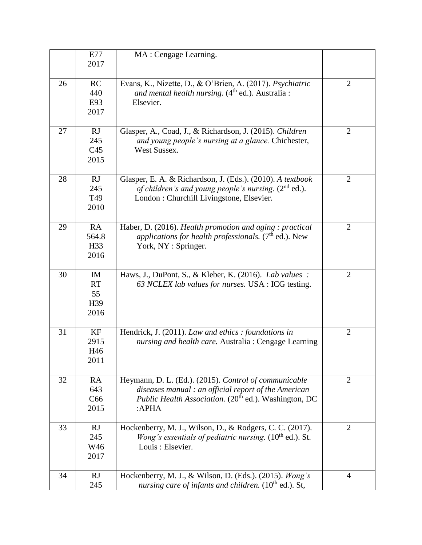|    | E77<br>2017                            | MA : Cengage Learning.                                                                                                                                                                     |                |
|----|----------------------------------------|--------------------------------------------------------------------------------------------------------------------------------------------------------------------------------------------|----------------|
| 26 | RC<br>440<br>E93<br>2017               | Evans, K., Nizette, D., & O'Brien, A. (2017). Psychiatric<br>and mental health nursing. $(4th$ ed.). Australia :<br>Elsevier.                                                              | $\overline{2}$ |
| 27 | RJ<br>245<br>C <sub>45</sub><br>2015   | Glasper, A., Coad, J., & Richardson, J. (2015). Children<br>and young people's nursing at a glance. Chichester,<br>West Sussex.                                                            | $\overline{2}$ |
| 28 | RJ<br>245<br>T49<br>2010               | Glasper, E. A. & Richardson, J. (Eds.). (2010). A textbook<br>of children's and young people's nursing. $(2^{nd}$ ed.).<br>London : Churchill Livingstone, Elsevier.                       | $\overline{2}$ |
| 29 | RA<br>564.8<br>H <sub>33</sub><br>2016 | Haber, D. (2016). Health promotion and aging : practical<br><i>applications for health professionals.</i> ( $7th$ ed.). New<br>York, NY : Springer.                                        | $\overline{2}$ |
| 30 | IM<br><b>RT</b><br>55<br>H39<br>2016   | Haws, J., DuPont, S., & Kleber, K. (2016). Lab values :<br>63 NCLEX lab values for nurses. USA : ICG testing.                                                                              | $\overline{2}$ |
| 31 | KF<br>2915<br>H46<br>2011              | Hendrick, J. (2011). Law and ethics : foundations in<br>nursing and health care. Australia: Cengage Learning                                                                               | $\overline{2}$ |
| 32 | RA<br>643<br>C66<br>2015               | Heymann, D. L. (Ed.). (2015). Control of communicable<br>diseases manual: an official report of the American<br>Public Health Association. (20 <sup>th</sup> ed.). Washington, DC<br>:APHA | $\overline{2}$ |
| 33 | RJ<br>245<br>W46<br>2017               | Hockenberry, M. J., Wilson, D., & Rodgers, C. C. (2017).<br><i>Wong's essentials of pediatric nursing.</i> $(10th$ ed.). St.<br>Louis: Elsevier.                                           | $\overline{2}$ |
| 34 | <b>RJ</b><br>245                       | Hockenberry, M. J., & Wilson, D. (Eds.). (2015). Wong's<br>nursing care of infants and children. $(10th$ ed.). St,                                                                         | $\overline{4}$ |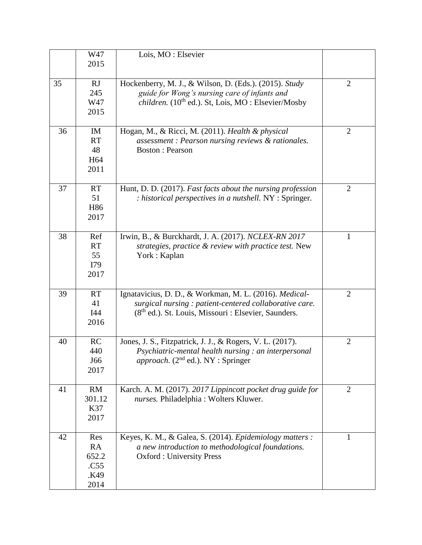|    | W47<br>2015                                      | Lois, MO: Elsevier                                                                                                                                                                   |                |
|----|--------------------------------------------------|--------------------------------------------------------------------------------------------------------------------------------------------------------------------------------------|----------------|
| 35 | RJ<br>245<br>W47<br>2015                         | Hockenberry, M. J., & Wilson, D. (Eds.). (2015). Study<br>guide for Wong's nursing care of infants and<br><i>children.</i> ( $10^{th}$ ed.). St, Lois, MO: Elsevier/Mosby            | $\overline{2}$ |
| 36 | IM<br><b>RT</b><br>48<br>H <sub>64</sub><br>2011 | Hogan, M., & Ricci, M. (2011). Health & physical<br>assessment : Pearson nursing reviews & rationales.<br><b>Boston: Pearson</b>                                                     | $\overline{2}$ |
| 37 | <b>RT</b><br>51<br>H86<br>2017                   | Hunt, D. D. (2017). Fast facts about the nursing profession<br>: historical perspectives in a nutshell. NY : Springer.                                                               | $\overline{2}$ |
| 38 | Ref<br><b>RT</b><br>55<br>I79<br>2017            | Irwin, B., & Burckhardt, J. A. (2017). NCLEX-RN 2017<br>strategies, practice & review with practice test. New<br>York: Kaplan                                                        | 1              |
| 39 | <b>RT</b><br>41<br>I44<br>2016                   | Ignatavicius, D. D., & Workman, M. L. (2016). Medical-<br>surgical nursing: patient-centered collaborative care.<br>(8 <sup>th</sup> ed.). St. Louis, Missouri : Elsevier, Saunders. | $\overline{2}$ |
| 40 | RC<br>440<br>J66<br>2017                         | Jones, J. S., Fitzpatrick, J. J., & Rogers, V. L. (2017).<br>Psychiatric-mental health nursing : an interpersonal<br><i>approach.</i> ( $2nd$ ed.). NY : Springer                    | $\overline{2}$ |
| 41 | RM<br>301.12<br>K37<br>2017                      | Karch. A. M. (2017). 2017 Lippincott pocket drug guide for<br>nurses. Philadelphia : Wolters Kluwer.                                                                                 | $\overline{2}$ |
| 42 | Res<br>RA<br>652.2<br>.C55<br>K49.<br>2014       | Keyes, K. M., & Galea, S. (2014). Epidemiology matters :<br>a new introduction to methodological foundations.<br><b>Oxford: University Press</b>                                     | 1              |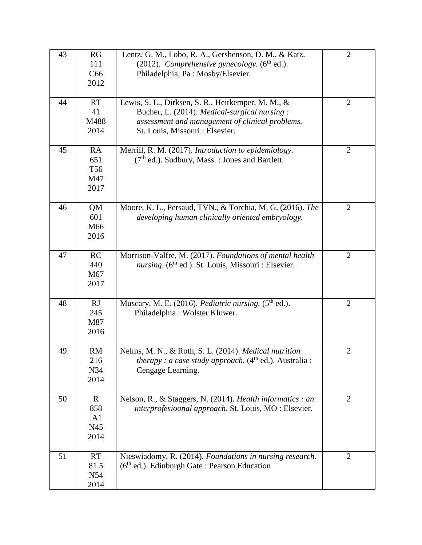| 43 | RG<br>111<br>C66<br>2012                    | Lentz, G. M., Lobo, R. A., Gershenson, D. M., & Katz.<br>(2012). Comprehensive gynecology. $(6th$ ed.).<br>Philadelphia, Pa: Mosby/Elsevier.                                             | $\mathfrak{2}$ |
|----|---------------------------------------------|------------------------------------------------------------------------------------------------------------------------------------------------------------------------------------------|----------------|
| 44 | RT<br>41<br>M488<br>2014                    | Lewis, S. L., Dirksen, S. R., Heitkemper, M. M., &<br>Bucher, L. (2014). Medical-surgical nursing:<br>assessment and management of clinical problems.<br>St. Louis, Missouri : Elsevier. | $\overline{2}$ |
| 45 | RA<br>651<br>T <sub>56</sub><br>M47<br>2017 | Merrill, R. M. (2017). Introduction to epidemiology.<br>$(7th$ ed.). Sudbury, Mass. : Jones and Bartlett.                                                                                | $\overline{2}$ |
| 46 | QM<br>601<br>M66<br>2016                    | Moore, K. L., Persaud, TVN., & Torchia, M. G. (2016). The<br>developing human clinically oriented embryology.                                                                            | $\overline{2}$ |
| 47 | RC<br>440<br>M67<br>2017                    | Morrison-Valfre, M. (2017). Foundations of mental health<br>nursing. (6 <sup>th</sup> ed.). St. Louis, Missouri : Elsevier.                                                              | $\overline{2}$ |
| 48 | RJ<br>245<br>M87<br>2016                    | Muscary, M. E. (2016). Pediatric nursing. (5 <sup>th</sup> ed.).<br>Philadelphia: Wolster Kluwer.                                                                                        | $\overline{2}$ |
| 49 | RM<br>216<br>N34<br>2014                    | Nelms, M. N., & Roth, S. L. (2014). Medical nutrition<br><i>therapy : a case study approach.</i> $(4th ed.)$ . Australia :<br>Cengage Learning.                                          | $\overline{2}$ |
| 50 | $\mathbf R$<br>858<br>.A1<br>N45<br>2014    | Nelson, R., & Staggers, N. (2014). Health informatics : an<br>interprofesioonal approach. St. Louis, MO : Elsevier.                                                                      | 2              |
| 51 | <b>RT</b><br>81.5<br>N54<br>2014            | Nieswiadomy, R. (2014). Foundations in nursing research.<br>$(6th$ ed.). Edinburgh Gate : Pearson Education                                                                              | $\overline{2}$ |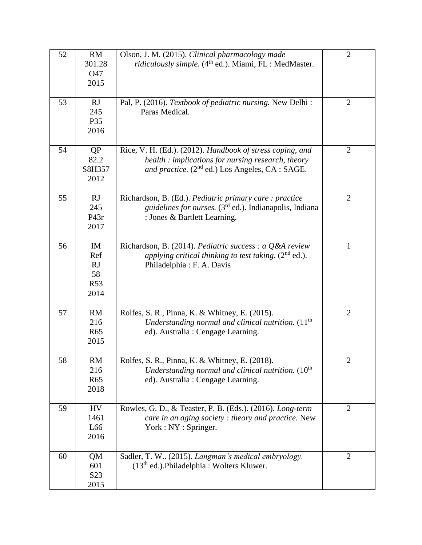| 52 | RM<br>301.28<br>O47                         | Olson, J. M. (2015). Clinical pharmacology made<br><i>ridiculously simple.</i> (4 <sup>th</sup> ed.). Miami, FL : MedMaster.                                                   | $\overline{2}$ |
|----|---------------------------------------------|--------------------------------------------------------------------------------------------------------------------------------------------------------------------------------|----------------|
|    | 2015                                        |                                                                                                                                                                                |                |
| 53 | RJ<br>245<br>P35<br>2016                    | Pal, P. (2016). Textbook of pediatric nursing. New Delhi:<br>Paras Medical.                                                                                                    | $\overline{2}$ |
| 54 | QP<br>82.2<br>S8H357<br>2012                | Rice, V. H. (Ed.). (2012). Handbook of stress coping, and<br>health : implications for nursing research, theory<br>and practice. (2 <sup>nd</sup> ed.) Los Angeles, CA : SAGE. | $\overline{2}$ |
| 55 | RJ<br>245<br>P43r<br>2017                   | Richardson, B. (Ed.). Pediatric primary care: practice<br><i>guidelines for nurses.</i> $(3rd$ ed.). Indianapolis, Indiana<br>: Jones & Bartlett Learning.                     | $\overline{2}$ |
| 56 | IM<br>Ref<br>RJ<br>58<br><b>R53</b><br>2014 | Richardson, B. (2014). Pediatric success : a Q&A review<br>applying critical thinking to test taking. $(2^{nd}$ ed.).<br>Philadelphia: F. A. Davis                             | $\mathbf{1}$   |
| 57 | RM<br>216<br>R <sub>65</sub><br>2015        | Rolfes, S. R., Pinna, K. & Whitney, E. (2015).<br>Understanding normal and clinical nutrition. $(11th)$<br>ed). Australia : Cengage Learning.                                  | $\overline{2}$ |
| 58 | RM<br>216<br><b>R65</b><br>2018             | Rolfes, S. R., Pinna, K. & Whitney, E. (2018).<br>Understanding normal and clinical nutrition. (10 <sup>th</sup><br>ed). Australia : Cengage Learning.                         | $\overline{2}$ |
| 59 | <b>HV</b><br>1461<br>L66<br>2016            | Rowles, G. D., & Teaster, P. B. (Eds.). (2016). Long-term<br>care in an aging society: theory and practice. New<br>York : NY : Springer.                                       | $\overline{2}$ |
| 60 | QM<br>601<br>S <sub>23</sub><br>2015        | Sadler, T. W (2015). Langman's medical embryology.<br>$(13th$ ed.). Philadelphia : Wolters Kluwer.                                                                             | $\overline{2}$ |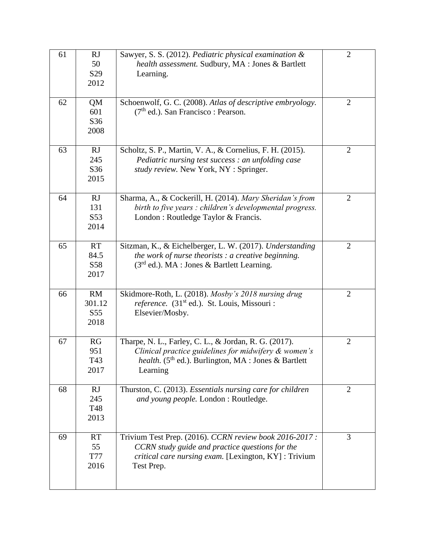| 61 | <b>RJ</b><br>50<br>S <sub>29</sub><br>2012 | Sawyer, S. S. (2012). Pediatric physical examination &<br>health assessment. Sudbury, MA : Jones & Bartlett<br>Learning.                                                                    | $\overline{2}$ |
|----|--------------------------------------------|---------------------------------------------------------------------------------------------------------------------------------------------------------------------------------------------|----------------|
| 62 | <b>QM</b><br>601<br>S36<br>2008            | Schoenwolf, G. C. (2008). Atlas of descriptive embryology.<br>$(7th$ ed.). San Francisco : Pearson.                                                                                         | $\overline{2}$ |
| 63 | <b>RJ</b><br>245<br>S36<br>2015            | Scholtz, S. P., Martin, V. A., & Cornelius, F. H. (2015).<br>Pediatric nursing test success : an unfolding case<br>study review. New York, NY : Springer.                                   | $\overline{2}$ |
| 64 | <b>RJ</b><br>131<br>S53<br>2014            | Sharma, A., & Cockerill, H. (2014). Mary Sheridan's from<br>birth to five years : children's developmental progress.<br>London : Routledge Taylor & Francis.                                | $\overline{2}$ |
| 65 | <b>RT</b><br>84.5<br>S58<br>2017           | Sitzman, K., & Eichelberger, L. W. (2017). Understanding<br>the work of nurse theorists : a creative beginning.<br>$(3rd$ ed.). MA : Jones & Bartlett Learning.                             | $\overline{2}$ |
| 66 | RM<br>301.12<br>S <sub>55</sub><br>2018    | Skidmore-Roth, L. (2018). Mosby's 2018 nursing drug<br>reference. (31 <sup>st</sup> ed.). St. Louis, Missouri :<br>Elsevier/Mosby.                                                          | $\overline{2}$ |
| 67 | RG<br>951<br>T43<br>2017                   | Tharpe, N. L., Farley, C. L., & Jordan, R. G. (2017).<br>Clinical practice guidelines for midwifery & women's<br><i>health.</i> ( $5th$ ed.). Burlington, MA : Jones & Bartlett<br>Learning | $\overline{2}$ |
| 68 | RJ<br>245<br>T48<br>2013                   | Thurston, C. (2013). Essentials nursing care for children<br>and young people. London : Routledge.                                                                                          | $\overline{2}$ |
| 69 | <b>RT</b><br>55<br>T77<br>2016             | Trivium Test Prep. (2016). CCRN review book 2016-2017 :<br>CCRN study guide and practice questions for the<br>critical care nursing exam. [Lexington, KY]: Trivium<br>Test Prep.            | 3              |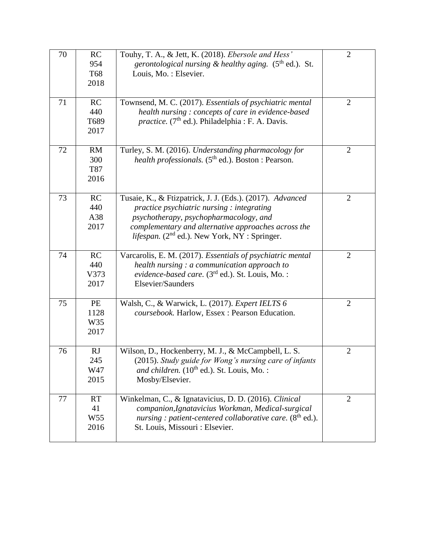| 70 | <b>RC</b><br>954<br>T68<br>2018     | Touhy, T. A., & Jett, K. (2018). Ebersole and Hess'<br>gerontological nursing & healthy aging. $(5th$ ed.). St.<br>Louis, Mo.: Elsevier.                                                                                                                            | $\mathfrak{2}$ |
|----|-------------------------------------|---------------------------------------------------------------------------------------------------------------------------------------------------------------------------------------------------------------------------------------------------------------------|----------------|
| 71 | RC<br>440<br>T689<br>2017           | Townsend, M. C. (2017). Essentials of psychiatric mental<br>health nursing: concepts of care in evidence-based<br>practice. (7 <sup>th</sup> ed.). Philadelphia : F. A. Davis.                                                                                      | $\overline{2}$ |
| 72 | <b>RM</b><br>300<br>T87<br>2016     | Turley, S. M. (2016). Understanding pharmacology for<br><i>health professionals.</i> (5 <sup>th</sup> ed.). Boston : Pearson.                                                                                                                                       | $\overline{2}$ |
| 73 | RC<br>440<br>A38<br>2017            | Tusaie, K., & Ftizpatrick, J. J. (Eds.). (2017). Advanced<br>practice psychiatric nursing : integrating<br>psychotherapy, psychopharmacology, and<br>complementary and alternative approaches across the<br><i>lifespan.</i> ( $2nd$ ed.). New York, NY : Springer. | $\overline{2}$ |
| 74 | RC<br>440<br>V373<br>2017           | Varcarolis, E. M. (2017). Essentials of psychiatric mental<br>health nursing $: a$ communication approach to<br>evidence-based care. (3 <sup>rd</sup> ed.). St. Louis, Mo. :<br>Elsevier/Saunders                                                                   | $\overline{2}$ |
| 75 | PE<br>1128<br>W35<br>2017           | Walsh, C., & Warwick, L. (2017). Expert IELTS 6<br>coursebook. Harlow, Essex: Pearson Education.                                                                                                                                                                    | $\overline{2}$ |
| 76 | <b>RJ</b><br>245<br>W47<br>2015     | Wilson, D., Hockenberry, M. J., & McCampbell, L. S.<br>(2015). Study guide for Wong's nursing care of infants<br>and children. $(10^{th}$ ed.). St. Louis, Mo.:<br>Mosby/Elsevier.                                                                                  | $\overline{2}$ |
| 77 | RT<br>41<br>W <sub>55</sub><br>2016 | Winkelman, C., & Ignatavicius, D. D. (2016). Clinical<br>companion, Ignatavicius Workman, Medical-surgical<br>nursing : patient-centered collaborative care. $(8th$ ed.).<br>St. Louis, Missouri : Elsevier.                                                        | $\overline{2}$ |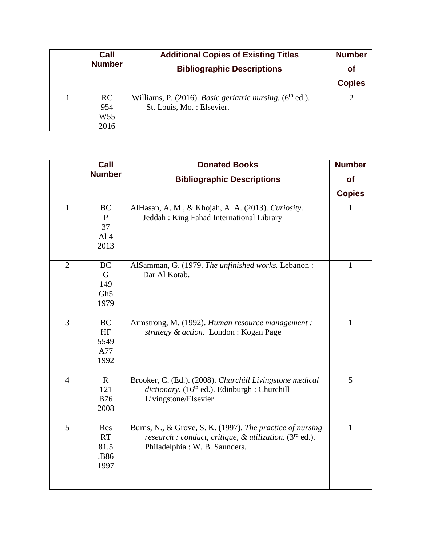| Call            | <b>Additional Copies of Existing Titles</b>                          | <b>Number</b> |
|-----------------|----------------------------------------------------------------------|---------------|
| <b>Number</b>   | <b>Bibliographic Descriptions</b>                                    | <b>of</b>     |
|                 |                                                                      | <b>Copies</b> |
| RC              | Williams, P. (2016). Basic geriatric nursing. (6 <sup>th</sup> ed.). |               |
| 954             | St. Louis, Mo.: Elsevier.                                            |               |
| W <sub>55</sub> |                                                                      |               |
| 2016            |                                                                      |               |

|                | Call                                                       | <b>Donated Books</b>                                                                                                                                    | <b>Number</b> |
|----------------|------------------------------------------------------------|---------------------------------------------------------------------------------------------------------------------------------------------------------|---------------|
|                | <b>Number</b>                                              | <b>Bibliographic Descriptions</b>                                                                                                                       | <b>of</b>     |
|                |                                                            |                                                                                                                                                         | <b>Copies</b> |
| $\mathbf{1}$   | <b>BC</b><br>$\mathbf{P}$<br>37<br>Al <sub>4</sub><br>2013 | AlHasan, A. M., & Khojah, A. A. (2013). Curiosity.<br>Jeddah : King Fahad International Library                                                         | 1             |
| $\overline{2}$ | <b>BC</b><br>G<br>149<br>Gh <sub>5</sub><br>1979           | AlSamman, G. (1979. The unfinished works. Lebanon:<br>Dar Al Kotab.                                                                                     | $\mathbf{1}$  |
| $\overline{3}$ | <b>BC</b><br>HF<br>5549<br>A77<br>1992                     | Armstrong, M. (1992). Human resource management :<br>strategy & action. London : Kogan Page                                                             | $\mathbf{1}$  |
| $\overline{4}$ | $\mathbf{R}$<br>121<br><b>B76</b><br>2008                  | Brooker, C. (Ed.). (2008). Churchill Livingstone medical<br>dictionary. (16 <sup>th</sup> ed.). Edinburgh : Churchill<br>Livingstone/Elsevier           | 5             |
| 5              | Res<br>RT<br>81.5<br>.B86<br>1997                          | Burns, N., & Grove, S. K. (1997). The practice of nursing<br>research : conduct, critique, & utilization. $(3rd$ ed.).<br>Philadelphia: W. B. Saunders. | $\mathbf{1}$  |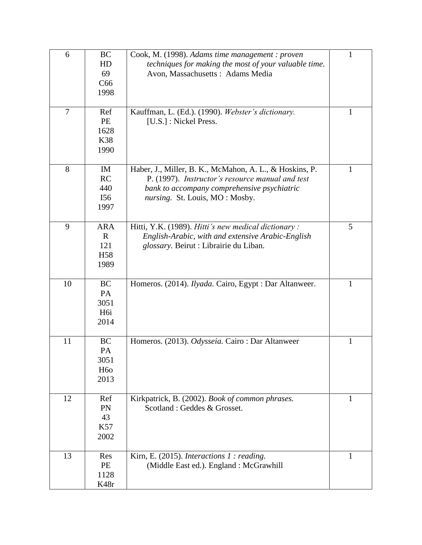| 6              | <b>BC</b><br>HD<br>69<br>C66<br>1998                         | Cook, M. (1998). Adams time management : proven<br>techniques for making the most of your valuable time.<br>Avon, Massachusetts: Adams Media                                                 | 1 |
|----------------|--------------------------------------------------------------|----------------------------------------------------------------------------------------------------------------------------------------------------------------------------------------------|---|
| $\overline{7}$ | Ref<br>PE<br>1628<br><b>K38</b><br>1990                      | Kauffman, L. (Ed.). (1990). Webster's dictionary.<br>[U.S.] : Nickel Press.                                                                                                                  | 1 |
| 8              | IM<br>RC<br>440<br>I56<br>1997                               | Haber, J., Miller, B. K., McMahon, A. L., & Hoskins, P.<br>P. (1997). Instructor's resource manual and test<br>bank to accompany comprehensive psychiatric<br>nursing. St. Louis, MO: Mosby. | 1 |
| 9              | <b>ARA</b><br>$\mathbb{R}$<br>121<br>H <sub>58</sub><br>1989 | Hitti, Y.K. (1989). Hitti's new medical dictionary:<br>English-Arabic, with and extensive Arabic-English<br>glossary. Beirut : Librairie du Liban.                                           | 5 |
| 10             | <b>BC</b><br>PA<br>3051<br>H <sub>6i</sub><br>2014           | Homeros. (2014). Ilyada. Cairo, Egypt : Dar Altanweer.                                                                                                                                       | 1 |
| 11             | <b>BC</b><br>PA<br>3051<br>H <sub>60</sub><br>2013           | Homeros. (2013). Odysseia. Cairo: Dar Altanweer                                                                                                                                              | 1 |
| 12             | Ref<br>PN<br>43<br>K57<br>2002                               | Kirkpatrick, B. (2002). Book of common phrases.<br>Scotland: Geddes & Grosset.                                                                                                               | 1 |
| 13             | Res<br>PE<br>1128<br>K48r                                    | Kirn, E. (2015). Interactions 1 : reading.<br>(Middle East ed.). England : McGrawhill                                                                                                        | 1 |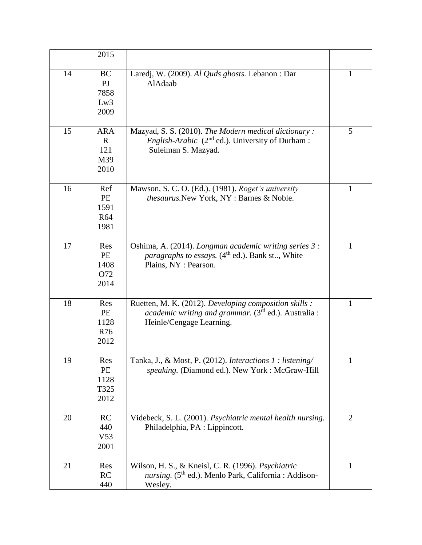|    | 2015                                               |                                                                                                                                                       |                |
|----|----------------------------------------------------|-------------------------------------------------------------------------------------------------------------------------------------------------------|----------------|
| 14 | <b>BC</b><br>P <sub>J</sub><br>7858<br>Lw3<br>2009 | Laredj, W. (2009). Al Quds ghosts. Lebanon : Dar<br>AlAdaab                                                                                           | $\mathbf{1}$   |
| 15 | <b>ARA</b><br>$\mathbf{R}$<br>121<br>M39<br>2010   | Mazyad, S. S. (2010). The Modern medical dictionary:<br><i>English-Arabic</i> ( $2nd$ ed.). University of Durham :<br>Suleiman S. Mazyad.             | 5              |
| 16 | Ref<br>PE<br>1591<br><b>R64</b><br>1981            | Mawson, S. C. O. (Ed.). (1981). Roget's university<br>thesaurus. New York, NY : Barnes & Noble.                                                       | 1              |
| 17 | Res<br>PE<br>1408<br>O72<br>2014                   | Oshima, A. (2014). Longman academic writing series 3 :<br><i>paragraphs to essays.</i> (4 <sup>th</sup> ed.). Bank st, White<br>Plains, NY : Pearson. | $\mathbf{1}$   |
| 18 | Res<br>PE<br>1128<br><b>R76</b><br>2012            | Ruetten, M. K. (2012). Developing composition skills :<br><i>academic writing and grammar.</i> $(3rd$ ed.). Australia :<br>Heinle/Cengage Learning.   | $\mathbf{1}$   |
| 19 | Res<br>PE<br>1128<br>T325<br>2012                  | Tanka, J., & Most, P. (2012). Interactions 1: listening/<br>speaking. (Diamond ed.). New York: McGraw-Hill                                            | 1              |
| 20 | RC<br>440<br>V <sub>53</sub><br>2001               | Videbeck, S. L. (2001). Psychiatric mental health nursing.<br>Philadelphia, PA : Lippincott.                                                          | $\overline{2}$ |
| 21 | Res<br>RC<br>440                                   | Wilson, H. S., & Kneisl, C. R. (1996). Psychiatric<br>nursing. (5 <sup>th</sup> ed.). Menlo Park, California : Addison-<br>Wesley.                    | $\mathbf{1}$   |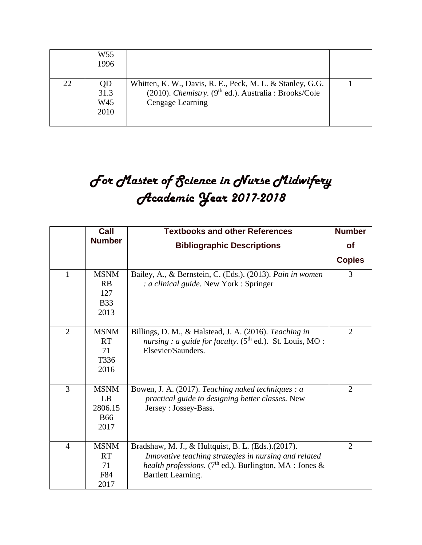|    | W55<br>1996               |                                                                                                                                             |  |
|----|---------------------------|---------------------------------------------------------------------------------------------------------------------------------------------|--|
| 22 | QD<br>31.3<br>W45<br>2010 | Whitten, K. W., Davis, R. E., Peck, M. L. & Stanley, G.G.<br>(2010). Chemistry. ( $9^{th}$ ed.). Australia: Brooks/Cole<br>Cengage Learning |  |

## *For Master of Science in Nurse Midwifery Academic Year 2017-2018*

|                | Call                                               | <b>Textbooks and other References</b>                                                                                                                                                                           | <b>Number</b>  |
|----------------|----------------------------------------------------|-----------------------------------------------------------------------------------------------------------------------------------------------------------------------------------------------------------------|----------------|
|                | <b>Number</b>                                      | <b>Bibliographic Descriptions</b>                                                                                                                                                                               | οf             |
|                |                                                    |                                                                                                                                                                                                                 | <b>Copies</b>  |
| $\mathbf{1}$   | <b>MSNM</b><br>RB<br>127<br><b>B</b> 33<br>2013    | Bailey, A., & Bernstein, C. (Eds.). (2013). Pain in women<br>: a clinical guide. New York : Springer                                                                                                            | 3              |
| $\overline{2}$ | <b>MSNM</b><br><b>RT</b><br>71<br>T336<br>2016     | Billings, D. M., & Halstead, J. A. (2016). Teaching in<br>nursing : a guide for faculty. $(5th$ ed.). St. Louis, MO :<br>Elsevier/Saunders.                                                                     | $\overline{2}$ |
| 3              | <b>MSNM</b><br>LB<br>2806.15<br><b>B66</b><br>2017 | Bowen, J. A. (2017). Teaching naked techniques : a<br>practical guide to designing better classes. New<br>Jersey : Jossey-Bass.                                                                                 | $\overline{2}$ |
| $\overline{4}$ | <b>MSNM</b><br><b>RT</b><br>71<br>F84<br>2017      | Bradshaw, M. J., & Hultquist, B. L. (Eds.).(2017).<br>Innovative teaching strategies in nursing and related<br><i>health professions.</i> (7 <sup>th</sup> ed.). Burlington, MA : Jones &<br>Bartlett Learning. | $\overline{2}$ |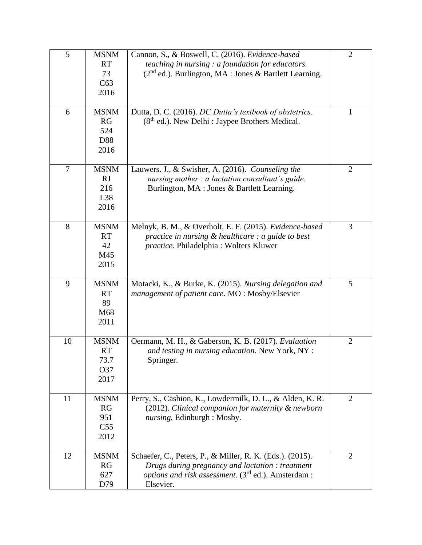| 5              | <b>MSNM</b>     | Cannon, S., & Boswell, C. (2016). Evidence-based                       | $\overline{2}$ |
|----------------|-----------------|------------------------------------------------------------------------|----------------|
|                | <b>RT</b>       | teaching in nursing : a foundation for educators.                      |                |
|                | 73              | $(2nd$ ed.). Burlington, MA : Jones & Bartlett Learning.               |                |
|                | C63             |                                                                        |                |
|                | 2016            |                                                                        |                |
| 6              | <b>MSNM</b>     | Dutta, D. C. (2016). DC Dutta's textbook of obstetrics.                | $\mathbf{1}$   |
|                | RG              | $(8th$ ed.). New Delhi : Jaypee Brothers Medical.                      |                |
|                | 524             |                                                                        |                |
|                | D88             |                                                                        |                |
|                | 2016            |                                                                        |                |
| $\overline{7}$ | <b>MSNM</b>     | Lauwers. J., & Swisher, A. (2016). Counseling the                      | $\overline{2}$ |
|                | RJ              | nursing mother : a lactation consultant's guide.                       |                |
|                | 216             | Burlington, MA : Jones & Bartlett Learning.                            |                |
|                | L38             |                                                                        |                |
|                | 2016            |                                                                        |                |
| 8              | <b>MSNM</b>     | Melnyk, B. M., & Overholt, E. F. (2015). Evidence-based                | 3              |
|                | <b>RT</b>       | practice in nursing $&$ healthcare : a guide to best                   |                |
|                | 42              | practice. Philadelphia: Wolters Kluwer                                 |                |
|                | M45             |                                                                        |                |
|                | 2015            |                                                                        |                |
|                |                 |                                                                        |                |
| 9              | <b>MSNM</b>     | Motacki, K., & Burke, K. (2015). Nursing delegation and                | 5              |
|                | <b>RT</b>       | management of patient care. MO: Mosby/Elsevier                         |                |
|                | 89              |                                                                        |                |
|                | M68             |                                                                        |                |
|                | 2011            |                                                                        |                |
| 10             | <b>MSNM</b>     | Oermann, M. H., & Gaberson, K. B. (2017). Evaluation                   | $\overline{2}$ |
|                | <b>RT</b>       | and testing in nursing education. New York, NY :                       |                |
|                | 73.7            | Springer.                                                              |                |
|                | O37             |                                                                        |                |
|                | 2017            |                                                                        |                |
| 11             | <b>MSNM</b>     | Perry, S., Cashion, K., Lowdermilk, D. L., & Alden, K. R.              | $\overline{2}$ |
|                | RG              | (2012). Clinical companion for maternity & newborn                     |                |
|                | 951             | nursing. Edinburgh : Mosby.                                            |                |
|                | C <sub>55</sub> |                                                                        |                |
|                | 2012            |                                                                        |                |
| 12             | <b>MSNM</b>     | Schaefer, C., Peters, P., & Miller, R. K. (Eds.). (2015).              | 2              |
|                | RG              | Drugs during pregnancy and lactation: treatment                        |                |
|                | 627             | <i>options and risk assessment.</i> (3 <sup>rd</sup> ed.). Amsterdam : |                |
|                | D79             | Elsevier.                                                              |                |